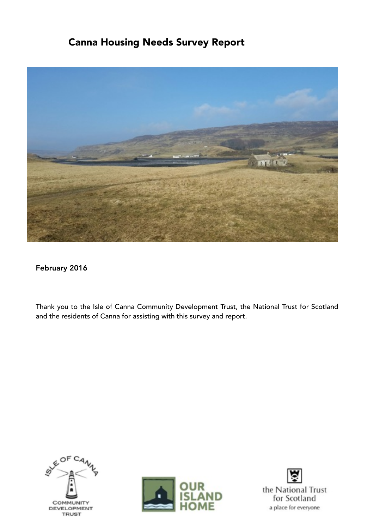# Canna Housing Needs Survey Report



February 2016

Thank you to the Isle of Canna Community Development Trust, the National Trust for Scotland and the residents of Canna for assisting with this survey and report.





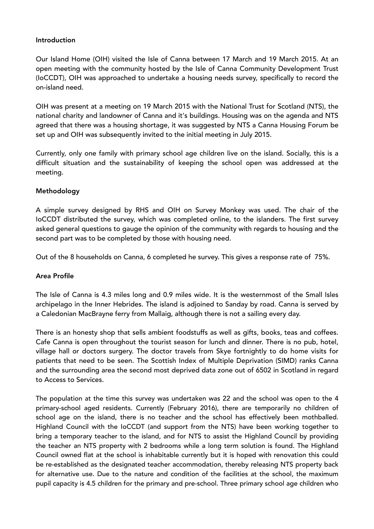# Introduction

Our Island Home (OIH) visited the Isle of Canna between 17 March and 19 March 2015. At an open meeting with the community hosted by the Isle of Canna Community Development Trust (IoCCDT), OIH was approached to undertake a housing needs survey, specifically to record the on-island need.

OIH was present at a meeting on 19 March 2015 with the National Trust for Scotland (NTS), the national charity and landowner of Canna and it's buildings. Housing was on the agenda and NTS agreed that there was a housing shortage, it was suggested by NTS a Canna Housing Forum be set up and OIH was subsequently invited to the initial meeting in July 2015.

Currently, only one family with primary school age children live on the island. Socially, this is a difficult situation and the sustainability of keeping the school open was addressed at the meeting.

## Methodology

A simple survey designed by RHS and OIH on Survey Monkey was used. The chair of the IoCCDT distributed the survey, which was completed online, to the islanders. The first survey asked general questions to gauge the opinion of the community with regards to housing and the second part was to be completed by those with housing need.

Out of the 8 households on Canna, 6 completed he survey. This gives a response rate of 75%.

## Area Profile

The Isle of Canna is 4.3 miles long and 0.9 miles wide. It is the westernmost of the Small Isles archipelago in the Inner Hebrides. The island is adjoined to Sanday by road. Canna is served by a Caledonian MacBrayne ferry from Mallaig, although there is not a sailing every day.

There is an honesty shop that sells ambient foodstuffs as well as gifts, books, teas and coffees. Cafe Canna is open throughout the tourist season for lunch and dinner. There is no pub, hotel, village hall or doctors surgery. The doctor travels from Skye fortnightly to do home visits for patients that need to be seen. The Scottish Index of Multiple Deprivation (SIMD) ranks Canna and the surrounding area the second most deprived data zone out of 6502 in Scotland in regard to Access to Services.

The population at the time this survey was undertaken was 22 and the school was open to the 4 primary-school aged residents. Currently (February 2016), there are temporarily no children of school age on the island, there is no teacher and the school has effectively been mothballed. Highland Council with the IoCCDT (and support from the NTS) have been working together to bring a temporary teacher to the island, and for NTS to assist the Highland Council by providing the teacher an NTS property with 2 bedrooms while a long term solution is found. The Highland Council owned flat at the school is inhabitable currently but it is hoped with renovation this could be re-established as the designated teacher accommodation, thereby releasing NTS property back for alternative use. Due to the nature and condition of the facilities at the school, the maximum pupil capacity is 4.5 children for the primary and pre-school. Three primary school age children who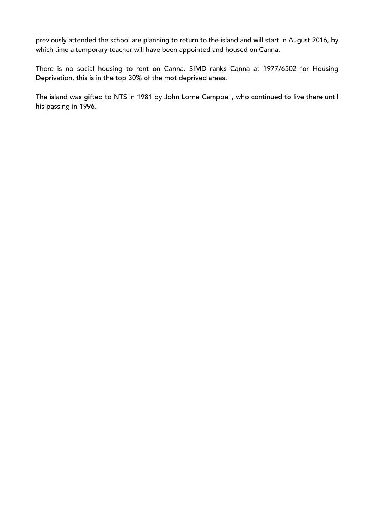previously attended the school are planning to return to the island and will start in August 2016, by which time a temporary teacher will have been appointed and housed on Canna.

There is no social housing to rent on Canna. SIMD ranks Canna at 1977/6502 for Housing Deprivation, this is in the top 30% of the mot deprived areas.

The island was gifted to NTS in 1981 by John Lorne Campbell, who continued to live there until his passing in 1996.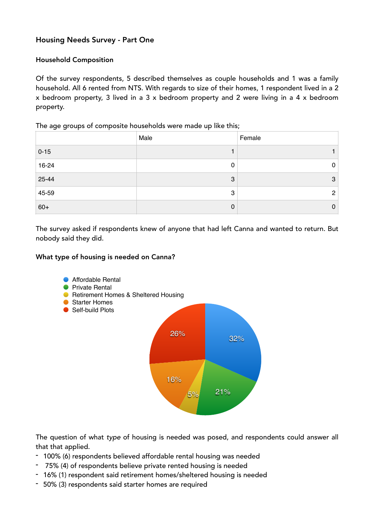# Housing Needs Survey - Part One

# Household Composition

Of the survey respondents, 5 described themselves as couple households and 1 was a family household. All 6 rented from NTS. With regards to size of their homes, 1 respondent lived in a 2 x bedroom property, 3 lived in a 3 x bedroom property and 2 were living in a 4 x bedroom property.

The age groups of composite households were made up like this;

|          | Male        | Female |
|----------|-------------|--------|
| $0 - 15$ |             |        |
| 16-24    | 0           | 0      |
| 25-44    | 3           | 3      |
| 45-59    | 3           | 2      |
| $60+$    | $\mathbf 0$ | 0      |

The survey asked if respondents knew of anyone that had left Canna and wanted to return. But nobody said they did.

## What type of housing is needed on Canna?



The question of what *type* of housing is needed was posed, and respondents could answer all that that applied.

- 100% (6) respondents believed affordable rental housing was needed
- 75% (4) of respondents believe private rented housing is needed
- 16% (1) respondent said retirement homes/sheltered housing is needed
- 50% (3) respondents said starter homes are required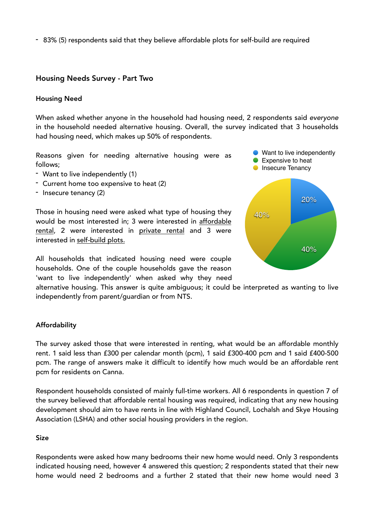- 83% (5) respondents said that they believe affordable plots for self-build are required

# Housing Needs Survey - Part Two

## Housing Need

When asked whether anyone in the household had housing need, 2 respondents said *everyone* in the household needed alternative housing. Overall, the survey indicated that 3 households had housing need, which makes up 50% of respondents.

Reasons given for needing alternative housing were as follows;

- Want to live independently (1)
- Current home too expensive to heat (2)
- Insecure tenancy (2)

Those in housing need were asked what type of housing they would be most interested in; 3 were interested in affordable rental, 2 were interested in private rental and 3 were interested in self-build plots.



All households that indicated housing need were couple households. One of the couple households gave the reason 'want to live independently' when asked why they need

alternative housing. This answer is quite ambiguous; it could be interpreted as wanting to live independently from parent/guardian or from NTS.

## Affordability

The survey asked those that were interested in renting, what would be an affordable monthly rent. 1 said less than £300 per calendar month (pcm), 1 said £300-400 pcm and 1 said £400-500 pcm. The range of answers make it difficult to identify how much would be an affordable rent pcm for residents on Canna.

Respondent households consisted of mainly full-time workers. All 6 respondents in question 7 of the survey believed that affordable rental housing was required, indicating that any new housing development should aim to have rents in line with Highland Council, Lochalsh and Skye Housing Association (LSHA) and other social housing providers in the region.

Size

Respondents were asked how many bedrooms their new home would need. Only 3 respondents indicated housing need, however 4 answered this question; 2 respondents stated that their new home would need 2 bedrooms and a further 2 stated that their new home would need 3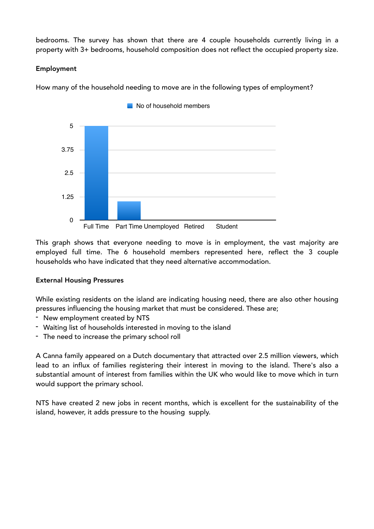bedrooms. The survey has shown that there are 4 couple households currently living in a property with 3+ bedrooms, household composition does not reflect the occupied property size.

# Employment

How many of the household needing to move are in the following types of employment?



This graph shows that everyone needing to move is in employment, the vast majority are employed full time. The 6 household members represented here, reflect the 3 couple households who have indicated that they need alternative accommodation.

## External Housing Pressures

While existing residents on the island are indicating housing need, there are also other housing pressures influencing the housing market that must be considered. These are;

- New employment created by NTS
- Waiting list of households interested in moving to the island
- The need to increase the primary school roll

A Canna family appeared on a Dutch documentary that attracted over 2.5 million viewers, which lead to an influx of families registering their interest in moving to the island. There's also a substantial amount of interest from families within the UK who would like to move which in turn would support the primary school.

NTS have created 2 new jobs in recent months, which is excellent for the sustainability of the island, however, it adds pressure to the housing supply.